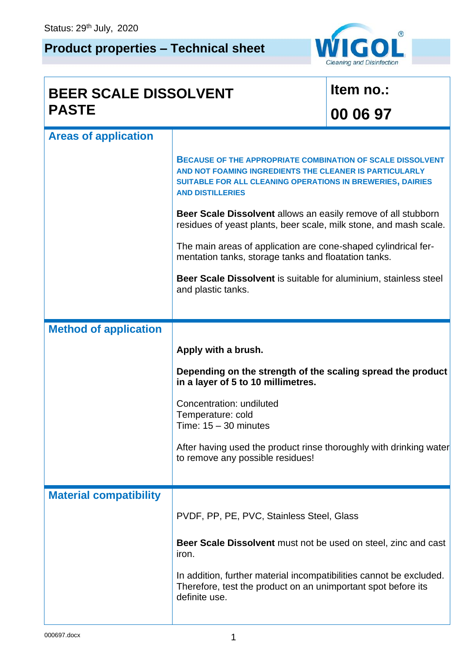## **Product properties – Technical sheet**



 $\mathbf{I}$ 

| <b>BEER SCALE DISSOLVENT</b>  |                                                                                                                                                                                                                       | Item no.: |  |
|-------------------------------|-----------------------------------------------------------------------------------------------------------------------------------------------------------------------------------------------------------------------|-----------|--|
| <b>PASTE</b>                  |                                                                                                                                                                                                                       | 00 06 97  |  |
| <b>Areas of application</b>   |                                                                                                                                                                                                                       |           |  |
|                               | <b>BECAUSE OF THE APPROPRIATE COMBINATION OF SCALE DISSOLVENT</b><br>AND NOT FOAMING INGREDIENTS THE CLEANER IS PARTICULARLY<br>SUITABLE FOR ALL CLEANING OPERATIONS IN BREWERIES, DAIRIES<br><b>AND DISTILLERIES</b> |           |  |
|                               | Beer Scale Dissolvent allows an easily remove of all stubborn<br>residues of yeast plants, beer scale, milk stone, and mash scale.                                                                                    |           |  |
|                               | The main areas of application are cone-shaped cylindrical fer-<br>mentation tanks, storage tanks and floatation tanks.                                                                                                |           |  |
|                               | Beer Scale Dissolvent is suitable for aluminium, stainless steel<br>and plastic tanks.                                                                                                                                |           |  |
|                               |                                                                                                                                                                                                                       |           |  |
| <b>Method of application</b>  |                                                                                                                                                                                                                       |           |  |
|                               | Apply with a brush.                                                                                                                                                                                                   |           |  |
|                               | Depending on the strength of the scaling spread the product<br>in a layer of 5 to 10 millimetres.                                                                                                                     |           |  |
|                               | Concentration: undiluted<br>Temperature: cold<br>Time: $15 - 30$ minutes                                                                                                                                              |           |  |
|                               | After having used the product rinse thoroughly with drinking water<br>to remove any possible residues!                                                                                                                |           |  |
| <b>Material compatibility</b> |                                                                                                                                                                                                                       |           |  |
|                               | PVDF, PP, PE, PVC, Stainless Steel, Glass                                                                                                                                                                             |           |  |
|                               | <b>Beer Scale Dissolvent</b> must not be used on steel, zinc and cast<br>iron.                                                                                                                                        |           |  |
|                               | In addition, further material incompatibilities cannot be excluded.<br>Therefore, test the product on an unimportant spot before its<br>definite use.                                                                 |           |  |
|                               |                                                                                                                                                                                                                       |           |  |